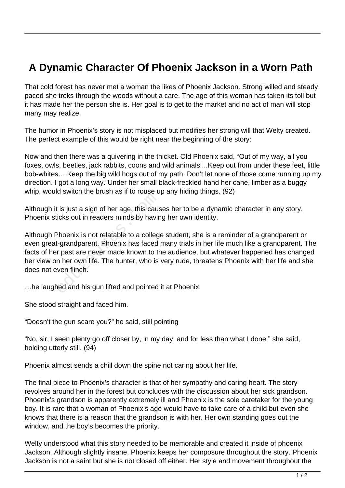## **A Dynamic Character Of Phoenix Jackson in a Worn Path**

That cold forest has never met a woman the likes of Phoenix Jackson. Strong willed and steady paced she treks through the woods without a care. The age of this woman has taken its toll but it has made her the person she is. Her goal is to get to the market and no act of man will stop many may realize.

The humor in Phoenix's story is not misplaced but modifies her strong will that Welty created. The perfect example of this would be right near the beginning of the story:

Now and then there was a quivering in the thicket. Old Phoenix said, "Out of my way, all you foxes, owls, beetles, jack rabbits, coons and wild animals!...Keep out from under these feet, little bob-whites….Keep the big wild hogs out of my path. Don't let none of those come running up my direction. I got a long way."Under her small black-freckled hand her cane, limber as a buggy whip, would switch the brush as if to rouse up any hiding things. (92)

Although it is just a sign of her age, this causes her to be a dynamic character in any story. Phoenix sticks out in readers minds by having her own identity.

Although Phoenix is not relatable to a college student, she is a reminder of a grandparent or even great-grandparent. Phoenix has faced many trials in her life much like a grandparent. The facts of her past are never made known to the audience, but whatever happened has changed her view on her own life. The hunter, who is very rude, threatens Phoenix with her life and she does not even flinch. education are about the measure.<br>
Let is just a sign of her age, this cause<br>
licks out in readers minds by havine<br>
Phoenix is not relatable to a colleg<br>
Let grandparent. Phoenix has faced<br>
r past are never made known to th

…he laughed and his gun lifted and pointed it at Phoenix.

She stood straight and faced him.

"Doesn't the gun scare you?" he said, still pointing

"No, sir, I seen plenty go off closer by, in my day, and for less than what I done," she said, holding utterly still. (94)

Phoenix almost sends a chill down the spine not caring about her life.

The final piece to Phoenix's character is that of her sympathy and caring heart. The story revolves around her in the forest but concludes with the discussion about her sick grandson. Phoenix's grandson is apparently extremely ill and Phoenix is the sole caretaker for the young boy. It is rare that a woman of Phoenix's age would have to take care of a child but even she knows that there is a reason that the grandson is with her. Her own standing goes out the window, and the boy's becomes the priority.

Welty understood what this story needed to be memorable and created it inside of phoenix Jackson. Although slightly insane, Phoenix keeps her composure throughout the story. Phoenix Jackson is not a saint but she is not closed off either. Her style and movement throughout the